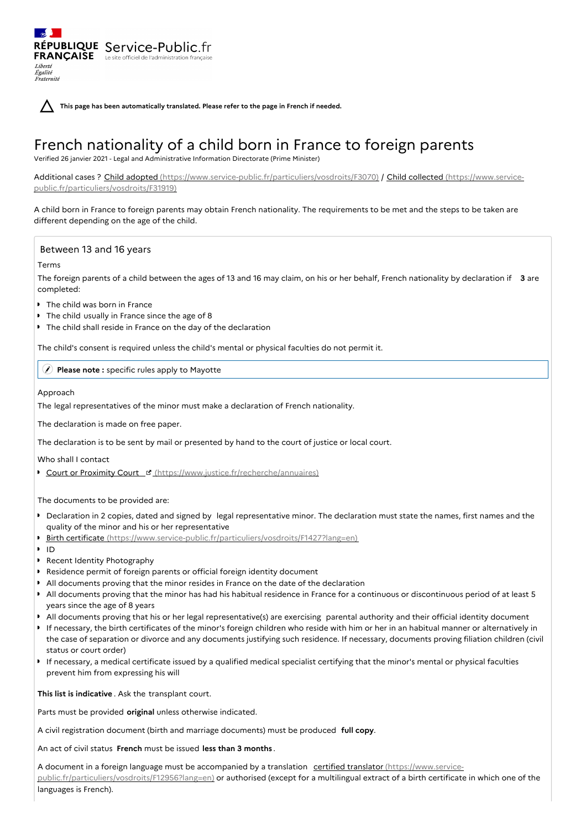**This page has been automatically translated. Please refer to the page in French if needed.**

# French nationality of a child born in France to foreign parents

Verified 26 janvier 2021 - Legal and Administrative Information Directorate (Prime Minister)

Additional cases ? Child adopted [\(https://www.service-public.fr/particuliers/vosdroits/F3070\)](https://www.service-public.fr/particuliers/vosdroits/F31919) / Child collected (https://www.servicepublic.fr/particuliers/vosdroits/F31919)

A child born in France to foreign parents may obtain French nationality. The requirements to be met and the steps to be taken are different depending on the age of the child.

## Between 13 and 16 years

#### Terms

Liberté Égalité Fraternité

The foreign parents of a child between the ages of 13 and 16 may claim, on his or her behalf, French nationality by declaration if **3** are completed:

- **The child was born in France**
- The child usually in France since the age of 8

RÉPUBLIQUE Service-Public.fr **FRANÇAISE** Le site officiel de l'administration fran

The child shall reside in France on the day of the declaration

The child's consent is required unless the child's mental or physical faculties do not permit it.

**Please note :** specific rules apply to Mayotte

## Approach

The legal representatives of the minor must make a declaration of French nationality.

The declaration is made on free paper.

The declaration is to be sent by mail or presented by hand to the court of justice or local court.

Who shall I contact

Court or Proximity Court E [\(https://www.justice.fr/recherche/annuaires\)](https://www.justice.fr/recherche/annuaires)

The documents to be provided are:

- Declaration in 2 copies, dated and signed by legal representative minor. The declaration must state the names, first names and the quality of the minor and his or her representative
- $\bullet$ Birth certificate [\(https://www.service-public.fr/particuliers/vosdroits/F1427?lang=en\)](https://www.service-public.fr/particuliers/vosdroits/F1427?lang=en)
- $\blacksquare$
- Recent Identity Photography
- Residence permit of foreign parents or official foreign identity document
- All documents proving that the minor resides in France on the date of the declaration
- All documents proving that the minor has had his habitual residence in France for a continuous or discontinuous period of at least 5 years since the age of 8 years
- All documents proving that his or her legal representative(s) are exercising parental authority and their official identity document
- If necessary, the birth certificates of the minor's foreign children who reside with him or her in an habitual manner or alternatively in the case of separation or divorce and any documents justifying such residence. If necessary, documents proving filiation children (civil status or court order)
- If necessary, a medical certificate issued by a qualified medical specialist certifying that the minor's mental or physical faculties prevent him from expressing his will

**This list is indicative** . Ask the transplant court.

Parts must be provided **original** unless otherwise indicated.

A civil registration document (birth and marriage documents) must be produced **full copy**.

An act of civil status **French** must be issued **less than 3 months** .

A document in a foreign language must be accompanied by a translation certified translator (https://www.service[public.fr/particuliers/vosdroits/F12956?lang=en\)](https://www.service-public.fr/particuliers/vosdroits/F12956?lang=en) or authorised (except for a multilingual extract of a birth certificate in which one of the languages is French).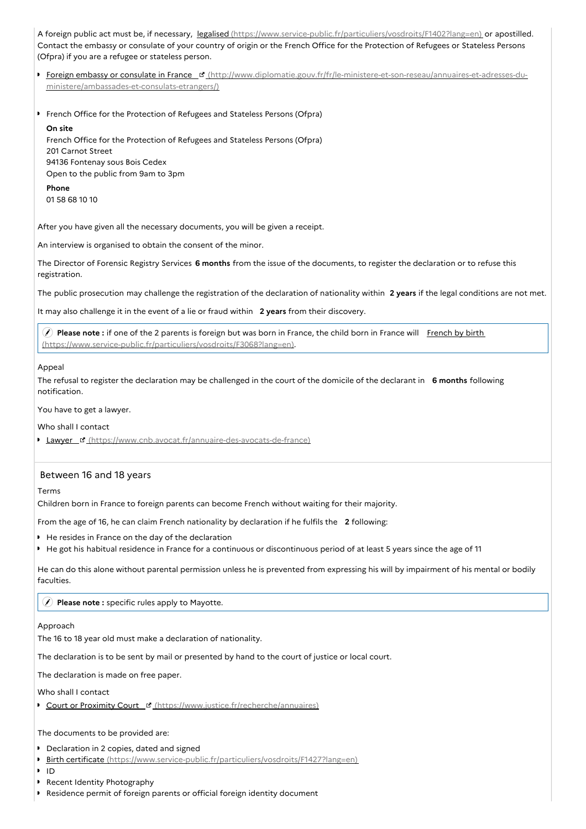A foreign public act must be, if necessary, legalised [\(https://www.service-public.fr/particuliers/vosdroits/F1402?lang=en\)](https://www.service-public.fr/particuliers/vosdroits/F1402?lang=en) or apostilled. Contact the embassy or consulate of your country of origin or the French Office for the Protection of Refugees or Stateless Persons (Ofpra) if you are a refugee or stateless person.

- **Foreign embassy or consulate in France F** [\(http://www.diplomatie.gouv.fr/fr/le-ministere-et-son-reseau/annuaires-et-adresses-du](http://www.diplomatie.gouv.fr/fr/le-ministere-et-son-reseau/annuaires-et-adresses-du-ministere/ambassades-et-consulats-etrangers/)ministere/ambassades-et-consulats-etrangers/)
- **French Office for the Protection of Refugees and Stateless Persons (Ofpra)**

### **On site**

French Office for the Protection of Refugees and Stateless Persons (Ofpra) 201 Carnot Street 94136 Fontenay sous Bois Cedex Open to the public from 9am to 3pm

**Phone** 01 58 68 10 10

After you have given all the necessary documents, you will be given a receipt.

An interview is organised to obtain the consent of the minor.

The Director of Forensic Registry Services **6 months** from the issue of the documents, to register the declaration or to refuse this registration.

The public prosecution may challenge the registration of the declaration of nationality within **2 years** if the legal conditions are not met.

It may also challenge it in the event of a lie or fraud within **2 years** from their discovery.

**Please note** : if one of the 2 parents is foreign but was born in France, the child born in France will French by birth [\(https://www.service-public.fr/particuliers/vosdroits/F3068?lang=en\).](https://www.service-public.fr/particuliers/vosdroits/F3068?lang=en)

## Appeal

The refusal to register the declaration may be challenged in the court of the domicile of the declarant in **6 months** following notification.

You have to get a lawyer.

## Who shall I contact

**Lawyer & [\(https://www.cnb.avocat.fr/annuaire-des-avocats-de-france\)](https://www.cnb.avocat.fr/annuaire-des-avocats-de-france)** 

## Between 16 and 18 years

Terms

Children born in France to foreign parents can become French without waiting for their majority.

From the age of 16, he can claim French nationality by declaration if he fulfils the **2** following:

- He resides in France on the day of the declaration
- He got his habitual residence in France for a continuous or discontinuous period of at least 5 years since the age of 11

He can do this alone without parental permission unless he is prevented from expressing his will by impairment of his mental or bodily faculties.

## **Please note :** specific rules apply to Mayotte.

#### Approach

The 16 to 18 year old must make a declaration of nationality.

The declaration is to be sent by mail or presented by hand to the court of justice or local court.

The declaration is made on free paper.

Who shall I contact

Court or Proximity Court E [\(https://www.justice.fr/recherche/annuaires\)](https://www.justice.fr/recherche/annuaires)

# The documents to be provided are:

- **Declaration in 2 copies, dated and signed**
- $\bullet$ Birth certificate [\(https://www.service-public.fr/particuliers/vosdroits/F1427?lang=en\)](https://www.service-public.fr/particuliers/vosdroits/F1427?lang=en)
- **ID**
- Recent Identity Photography
- Residence permit of foreign parents or official foreign identity document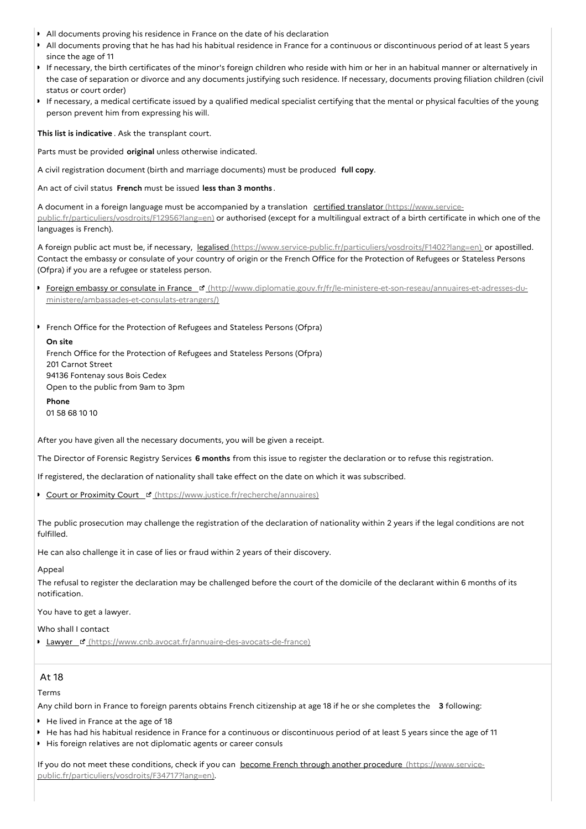- All documents proving his residence in France on the date of his declaration
- $\bullet$ All documents proving that he has had his habitual residence in France for a continuous or discontinuous period of at least 5 years since the age of 11
- If necessary, the birth certificates of the minor's foreign children who reside with him or her in an habitual manner or alternatively in the case of separation or divorce and any documents justifying such residence. If necessary, documents proving filiation children (civil status or court order)
- If necessary, a medical certificate issued by a qualified medical specialist certifying that the mental or physical faculties of the young person prevent him from expressing his will.

**This list is indicative** . Ask the transplant court.

Parts must be provided **original** unless otherwise indicated.

A civil registration document (birth and marriage documents) must be produced **full copy**.

An act of civil status **French** must be issued **less than 3 months** .

A document in a foreign language must be accompanied by a translation certified translator (https://www.service[public.fr/particuliers/vosdroits/F12956?lang=en\)](https://www.service-public.fr/particuliers/vosdroits/F12956?lang=en) or authorised (except for a multilingual extract of a birth certificate in which one of the languages is French).

A foreign public act must be, if necessary, legalised [\(https://www.service-public.fr/particuliers/vosdroits/F1402?lang=en\)](https://www.service-public.fr/particuliers/vosdroits/F1402?lang=en) or apostilled. Contact the embassy or consulate of your country of origin or the French Office for the Protection of Refugees or Stateless Persons (Ofpra) if you are a refugee or stateless person.

- Foreign embassy or consulate in France <sup>r</sup> [\(http://www.diplomatie.gouv.fr/fr/le-ministere-et-son-reseau/annuaires-et-adresses-du](http://www.diplomatie.gouv.fr/fr/le-ministere-et-son-reseau/annuaires-et-adresses-du-ministere/ambassades-et-consulats-etrangers/)ministere/ambassades-et-consulats-etrangers/)
- **French Office for the Protection of Refugees and Stateless Persons (Ofpra)**

**On site** French Office for the Protection of Refugees and Stateless Persons (Ofpra) 201 Carnot Street 94136 Fontenay sous Bois Cedex Open to the public from 9am to 3pm

**Phone** 01 58 68 10 10

After you have given all the necessary documents, you will be given a receipt.

The Director of Forensic Registry Services **6 months** from this issue to register the declaration or to refuse this registration.

If registered, the declaration of nationality shall take effect on the date on which it was subscribed.

Court or Proximity Court <sup>B</sup> [\(https://www.justice.fr/recherche/annuaires\)](https://www.justice.fr/recherche/annuaires)

The public prosecution may challenge the registration of the declaration of nationality within 2 years if the legal conditions are not fulfilled.

He can also challenge it in case of lies or fraud within 2 years of their discovery.

## Appeal

The refusal to register the declaration may be challenged before the court of the domicile of the declarant within 6 months of its notification.

You have to get a lawyer.

Who shall I contact

**Lawyer d** [\(https://www.cnb.avocat.fr/annuaire-des-avocats-de-france\)](https://www.cnb.avocat.fr/annuaire-des-avocats-de-france)

# At 18

Terms

Any child born in France to foreign parents obtains French citizenship at age 18 if he or she completes the **3** following:

- He lived in France at the age of 18
- He has had his habitual residence in France for a continuous or discontinuous period of at least 5 years since the age of 11
- His foreign relatives are not diplomatic agents or career consuls

If you do not meet these conditions, check if you can become French through another procedure (https://www.service[public.fr/particuliers/vosdroits/F34717?lang=en\).](https://www.service-public.fr/particuliers/vosdroits/F34717?lang=en)